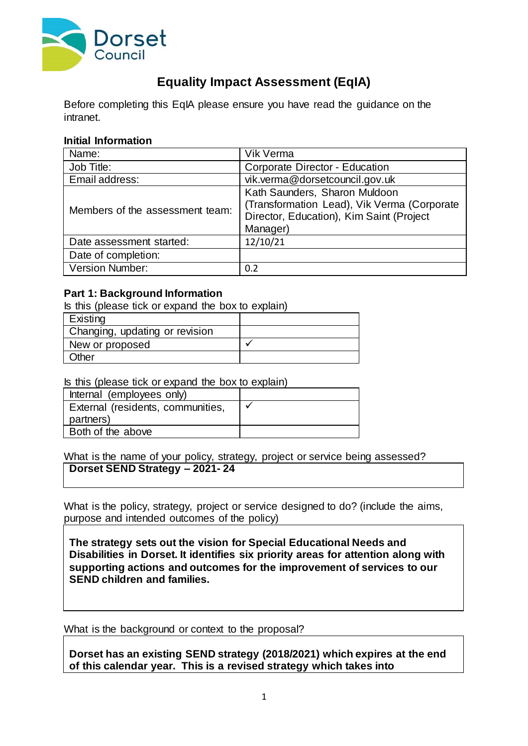

# **Equality Impact Assessment (EqIA)**

Before completing this EqIA please ensure you have read the guidance on the intranet.

#### **Initial Information**

| Name:                           | Vik Verma                                                                                                                            |
|---------------------------------|--------------------------------------------------------------------------------------------------------------------------------------|
| Job Title:                      | Corporate Director - Education                                                                                                       |
| Email address:                  | vik.verma@dorsetcouncil.gov.uk                                                                                                       |
| Members of the assessment team: | Kath Saunders, Sharon Muldoon<br>(Transformation Lead), Vik Verma (Corporate<br>Director, Education), Kim Saint (Project<br>Manager) |
| Date assessment started:        | 12/10/21                                                                                                                             |
| Date of completion:             |                                                                                                                                      |
| Version Number:                 | 0.2                                                                                                                                  |

#### **Part 1: Background Information**

Is this (please tick or expand the box to explain) **Existing** Changing, updating or revision New or proposed  $\sqrt{ }$ **Other** 

## Is this (please tick or expand the box to explain)

| Internal (employees only)         |  |
|-----------------------------------|--|
| External (residents, communities, |  |
| partners)                         |  |
| Both of the above                 |  |

#### What is the name of your policy, strategy, project or service being assessed? **Dorset SEND Strategy – 2021- 24**

What is the policy, strategy, project or service designed to do? (include the aims, purpose and intended outcomes of the policy)

**The strategy sets out the vision for Special Educational Needs and Disabilities in Dorset. It identifies six priority areas for attention along with supporting actions and outcomes for the improvement of services to our SEND children and families.**

What is the background or context to the proposal?

**Dorset has an existing SEND strategy (2018/2021) which expires at the end of this calendar year. This is a revised strategy which takes into**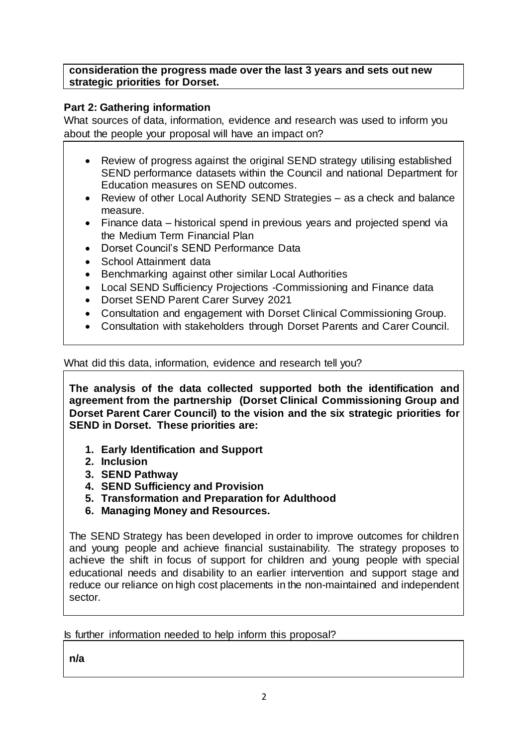**consideration the progress made over the last 3 years and sets out new strategic priorities for Dorset.**

## **Part 2: Gathering information**

What sources of data, information, evidence and research was used to inform you about the people your proposal will have an impact on?

- Review of progress against the original SEND strategy utilising established SEND performance datasets within the Council and national Department for Education measures on SEND outcomes.
- Review of other Local Authority SEND Strategies as a check and balance measure.
- Finance data historical spend in previous years and projected spend via the Medium Term Financial Plan
- Dorset Council's SEND Performance Data
- School Attainment data
- Benchmarking against other similar Local Authorities
- Local SEND Sufficiency Projections -Commissioning and Finance data
- Dorset SEND Parent Carer Survey 2021
- Consultation and engagement with Dorset Clinical Commissioning Group.
- Consultation with stakeholders through Dorset Parents and Carer Council.

What did this data, information, evidence and research tell you?

**The analysis of the data collected supported both the identification and agreement from the partnership (Dorset Clinical Commissioning Group and Dorset Parent Carer Council) to the vision and the six strategic priorities for SEND in Dorset. These priorities are:**

- **1. Early Identification and Support**
- **2. Inclusion**
- **3. SEND Pathway**
- **4. SEND Sufficiency and Provision**
- **5. Transformation and Preparation for Adulthood**
- **6. Managing Money and Resources.**

The SEND Strategy has been developed in order to improve outcomes for children and young people and achieve financial sustainability. The strategy proposes to achieve the shift in focus of support for children and young people with special educational needs and disability to an earlier intervention and support stage and reduce our reliance on high cost placements in the non-maintained and independent sector.

Is further information needed to help inform this proposal?

**n/a**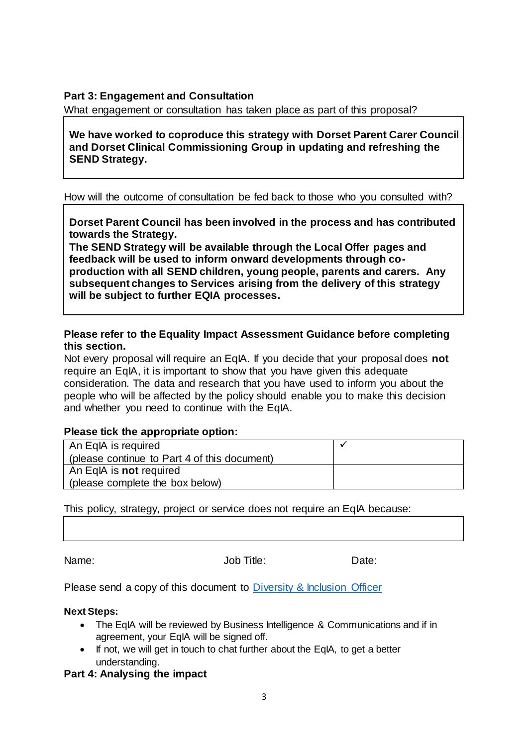## **Part 3: Engagement and Consultation**

What engagement or consultation has taken place as part of this proposal?

**We have worked to coproduce this strategy with Dorset Parent Carer Council and Dorset Clinical Commissioning Group in updating and refreshing the SEND Strategy.**

How will the outcome of consultation be fed back to those who you consulted with?

**Dorset Parent Council has been involved in the process and has contributed towards the Strategy.**

**The SEND Strategy will be available through the Local Offer pages and feedback will be used to inform onward developments through coproduction with all SEND children, young people, parents and carers. Any subsequent changes to Services arising from the delivery of this strategy will be subject to further EQIA processes.**

**Please refer to the Equality Impact Assessment Guidance before completing this section.**

Not every proposal will require an EqIA. If you decide that your proposal does **not** require an EqIA, it is important to show that you have given this adequate consideration. The data and research that you have used to inform you about the people who will be affected by the policy should enable you to make this decision and whether you need to continue with the EqIA.

## **Please tick the appropriate option:**

| An EqlA is required                          |  |
|----------------------------------------------|--|
| (please continue to Part 4 of this document) |  |
| An EqlA is <b>not</b> required               |  |
| (please complete the box below)              |  |

This policy, strategy, project or service does not require an EqIA because:

Name: Contract Market Manager of Market Job Title: Date: Date:

Please send a copy of this document to [Diversity & Inclusion Officer](mailto:Susan.Ward-Rice@dorsetcc.gov.uk)

#### **Next Steps:**

- The EqIA will be reviewed by Business Intelligence & Communications and if in agreement, your EqIA will be signed off.
- If not, we will get in touch to chat further about the EqIA, to get a better understanding.

**Part 4: Analysing the impact**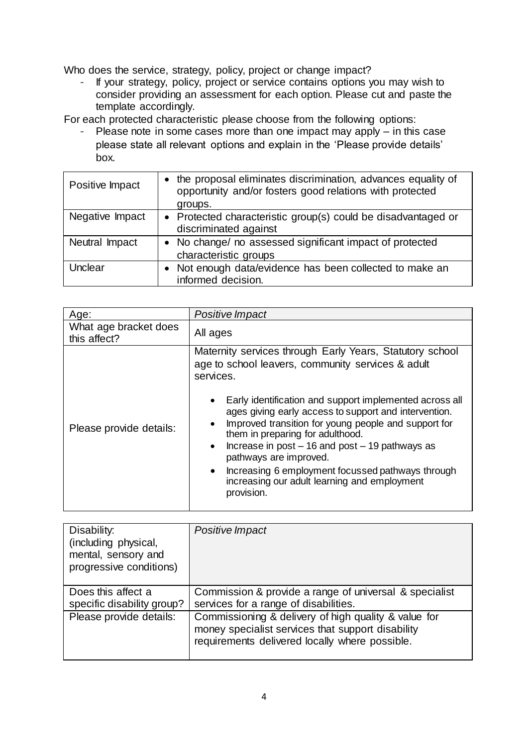Who does the service, strategy, policy, project or change impact?

- If your strategy, policy, project or service contains options you may wish to consider providing an assessment for each option. Please cut and paste the template accordingly.

For each protected characteristic please choose from the following options:

- Please note in some cases more than one impact may apply – in this case please state all relevant options and explain in the 'Please provide details' box.

| Positive Impact | the proposal eliminates discrimination, advances equality of<br>opportunity and/or fosters good relations with protected<br>groups. |
|-----------------|-------------------------------------------------------------------------------------------------------------------------------------|
| Negative Impact | • Protected characteristic group(s) could be disadvantaged or<br>discriminated against                                              |
| Neutral Impact  | • No change/ no assessed significant impact of protected<br>characteristic groups                                                   |
| Unclear         | Not enough data/evidence has been collected to make an<br>informed decision.                                                        |

| Age:                                  | Positive Impact                                                                                                                                                                                                                                                                                                                                                                                                                                                                                                                                                          |
|---------------------------------------|--------------------------------------------------------------------------------------------------------------------------------------------------------------------------------------------------------------------------------------------------------------------------------------------------------------------------------------------------------------------------------------------------------------------------------------------------------------------------------------------------------------------------------------------------------------------------|
| What age bracket does<br>this affect? | All ages                                                                                                                                                                                                                                                                                                                                                                                                                                                                                                                                                                 |
| Please provide details:               | Maternity services through Early Years, Statutory school<br>age to school leavers, community services & adult<br>services.<br>Early identification and support implemented across all<br>ages giving early access to support and intervention.<br>Improved transition for young people and support for<br>them in preparing for adulthood.<br>Increase in $post - 16$ and $post - 19$ pathways as<br>$\bullet$<br>pathways are improved.<br>Increasing 6 employment focussed pathways through<br>$\bullet$<br>increasing our adult learning and employment<br>provision. |

| Disability:<br>(including physical,<br>mental, sensory and<br>progressive conditions) | Positive Impact                                                                                                                                             |
|---------------------------------------------------------------------------------------|-------------------------------------------------------------------------------------------------------------------------------------------------------------|
| Does this affect a<br>specific disability group?                                      | Commission & provide a range of universal & specialist<br>services for a range of disabilities.                                                             |
| Please provide details:                                                               | Commissioning & delivery of high quality & value for<br>money specialist services that support disability<br>requirements delivered locally where possible. |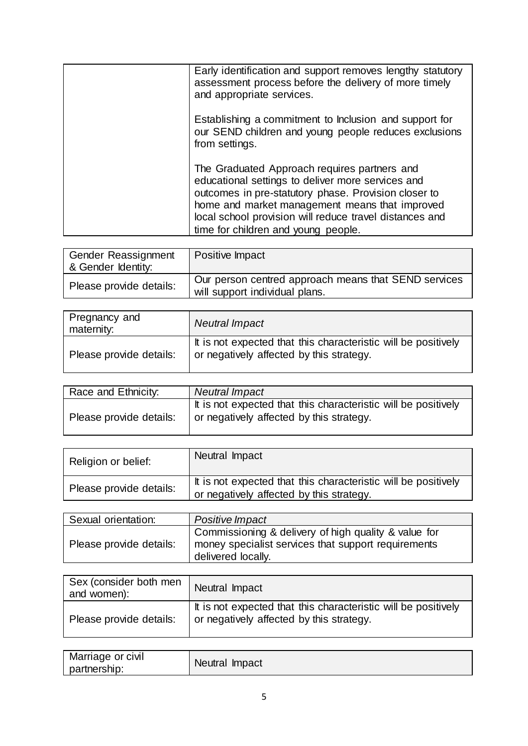| Early identification and support removes lengthy statutory<br>assessment process before the delivery of more timely<br>and appropriate services.                                                                                                                                                              |
|---------------------------------------------------------------------------------------------------------------------------------------------------------------------------------------------------------------------------------------------------------------------------------------------------------------|
| Establishing a commitment to Inclusion and support for<br>our SEND children and young people reduces exclusions<br>from settings.                                                                                                                                                                             |
| The Graduated Approach requires partners and<br>educational settings to deliver more services and<br>outcomes in pre-statutory phase. Provision closer to<br>home and market management means that improved<br>local school provision will reduce travel distances and<br>time for children and young people. |

| Gender Reassignment<br>& Gender Identity: | Positive Impact                                                                        |
|-------------------------------------------|----------------------------------------------------------------------------------------|
| Please provide details:                   | Our person centred approach means that SEND services<br>will support individual plans. |

| Pregnancy and<br>maternity: | <b>Neutral Impact</b>                                                                                      |
|-----------------------------|------------------------------------------------------------------------------------------------------------|
| Please provide details:     | It is not expected that this characteristic will be positively<br>or negatively affected by this strategy. |

| Race and Ethnicity:     | <b>Neutral Impact</b>                                                                                      |
|-------------------------|------------------------------------------------------------------------------------------------------------|
| Please provide details: | It is not expected that this characteristic will be positively<br>or negatively affected by this strategy. |

| Religion or belief:     | Neutral Impact                                                                                             |
|-------------------------|------------------------------------------------------------------------------------------------------------|
| Please provide details: | It is not expected that this characteristic will be positively<br>or negatively affected by this strategy. |

| Sexual orientation:     | Positive Impact                                                                                                                   |
|-------------------------|-----------------------------------------------------------------------------------------------------------------------------------|
| Please provide details: | Commissioning & delivery of high quality & value for<br>money specialist services that support requirements<br>delivered locally. |

| Sex (consider both men<br>and women): | Neutral Impact                                                                                             |
|---------------------------------------|------------------------------------------------------------------------------------------------------------|
| Please provide details:               | It is not expected that this characteristic will be positively<br>or negatively affected by this strategy. |

| Marriage or civil | Neutral Impact |
|-------------------|----------------|
| partnership:      |                |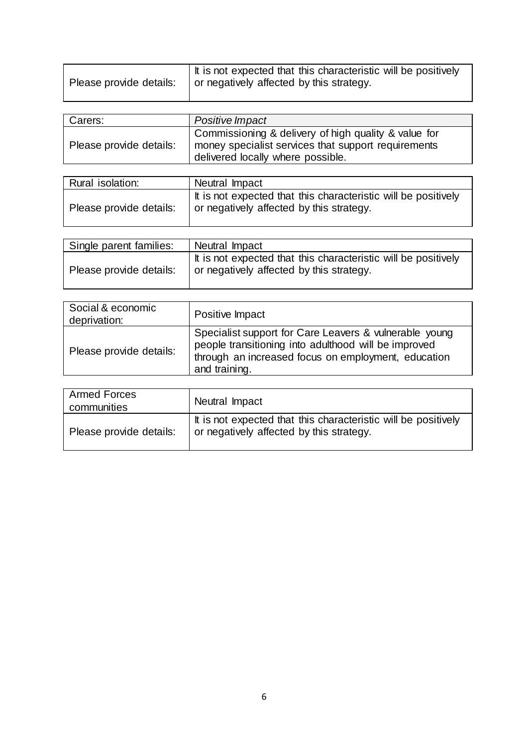| Please provide details: | It is not expected that this characteristic will be positively<br>I or negatively affected by this strategy. |
|-------------------------|--------------------------------------------------------------------------------------------------------------|
|                         |                                                                                                              |

| Carers:                 | Positive Impact                                                                                                                                  |
|-------------------------|--------------------------------------------------------------------------------------------------------------------------------------------------|
| Please provide details: | Commissioning & delivery of high quality & value for<br>money specialist services that support requirements<br>delivered locally where possible. |

| Rural isolation:        | Neutral Impact                                                                                             |
|-------------------------|------------------------------------------------------------------------------------------------------------|
| Please provide details: | It is not expected that this characteristic will be positively<br>or negatively affected by this strategy. |

| Single parent families: | Neutral Impact                                                                                             |
|-------------------------|------------------------------------------------------------------------------------------------------------|
| Please provide details: | It is not expected that this characteristic will be positively<br>or negatively affected by this strategy. |

| Specialist support for Care Leavers & vulnerable young<br>people transitioning into adulthood will be improved<br>Please provide details:<br>through an increased focus on employment, education<br>and training. | Social & economic<br>deprivation: | Positive Impact |
|-------------------------------------------------------------------------------------------------------------------------------------------------------------------------------------------------------------------|-----------------------------------|-----------------|
|                                                                                                                                                                                                                   |                                   |                 |

| <b>Armed Forces</b><br>communities | Neutral Impact                                                                                             |
|------------------------------------|------------------------------------------------------------------------------------------------------------|
| Please provide details:            | It is not expected that this characteristic will be positively<br>or negatively affected by this strategy. |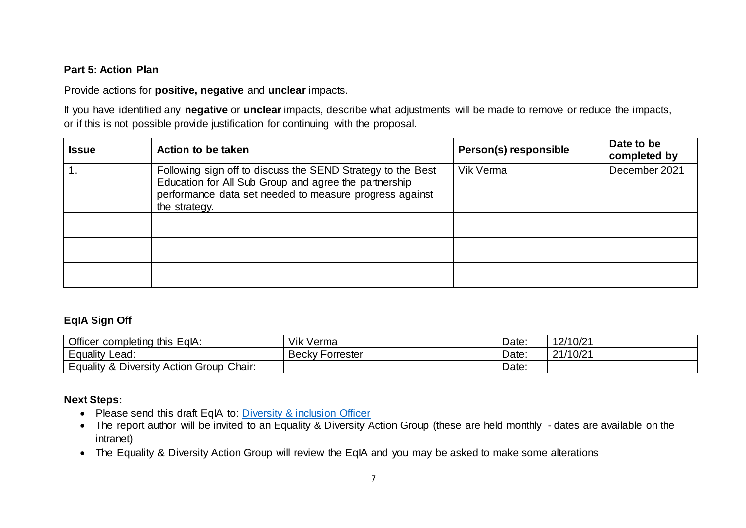## **Part 5: Action Plan**

Provide actions for **positive, negative** and **unclear** impacts.

If you have identified any **negative** or **unclear** impacts, describe what adjustments will be made to remove or reduce the impacts, or if this is not possible provide justification for continuing with the proposal.

| <b>Issue</b> | Action to be taken                                                                                                                                                                               | Person(s) responsible | Date to be<br>completed by |
|--------------|--------------------------------------------------------------------------------------------------------------------------------------------------------------------------------------------------|-----------------------|----------------------------|
|              | Following sign off to discuss the SEND Strategy to the Best<br>Education for All Sub Group and agree the partnership<br>performance data set needed to measure progress against<br>the strategy. | Vik Verma             | December 2021              |
|              |                                                                                                                                                                                                  |                       |                            |
|              |                                                                                                                                                                                                  |                       |                            |
|              |                                                                                                                                                                                                  |                       |                            |

# **EqIA Sign Off**

| Officer<br>* completing this EqlA:                  | Vik Verma              | Date. | 12/10/21 |
|-----------------------------------------------------|------------------------|-------|----------|
| Equality<br>Lead:                                   | <b>Becky Forrester</b> | Date: | 21/10/21 |
| <b>Equality &amp; Diversity Action Group Chair:</b> |                        | Date: |          |

## **Next Steps:**

- Please send this draft EqIA to: [Diversity & inclusion Officer](mailto:Susan.Ward-Rice@dorsetcc.gov.uk)
- The report author will be invited to an Equality & Diversity Action Group (these are held monthly dates are available on the intranet)
- The Equality & Diversity Action Group will review the EqIA and you may be asked to make some alterations